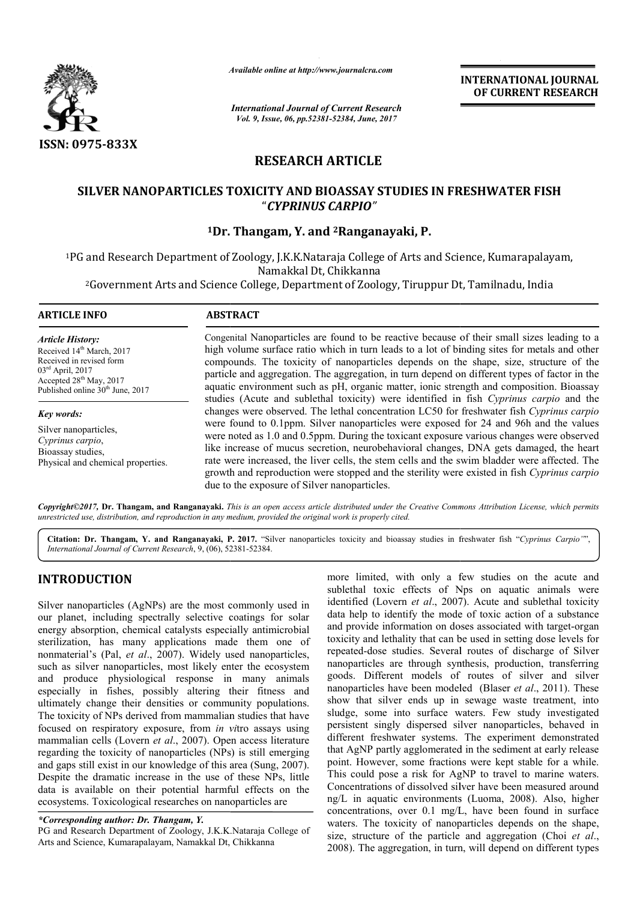

*Available online at http://www.journal http://www.journalcra.com*

*International Journal of Current Research Vol. 9, Issue, 06, pp.52381-52384, June, 2017*

**INTERNATIONAL JOURNAL OF CURRENT RESEARCH** 

# **RESEARCH ARTICLE**

# **SILVER NANOPARTICLES TOXICITY AND BIOASSAY STUDIES IN FRESHWATER FISH SILVER NANOPARTICLES TOXICITY AND BIOASSAY** "*CYPRINUS CARPIO"*

# <sup>1</sup>Dr. Thangam, Y. and <sup>2</sup>Ranganayaki, P.

<sup>1</sup>PG and Research Department of Zoology, J.K.K.Nataraja College of Arts and Science, Kumarapalayam, and Research Department of Zoology, J.K.K.Nataraja College of Arts and Science, Kumarapalay<br>Namakkal Dt, Chikkanna<br>Government Arts and Science College, Department of Zoology, Tiruppur Dt, Tamilnadu, India? Namakkal Dt, Chikkanna

# **ARTICLE INFO ABSTRACT**

*Article History:* Received 14<sup>th</sup> March, 2017 Received in revised form 03rd April, 2017 Accepted 28<sup>th</sup> May, 2017 Published online 30<sup>th</sup> June, 2017

*Key words:* Silver nanoparticles, *Cyprinus carpio*, Bioassay studies, Physical and chemical properties.

Congenital Nanoparticles are found to be reactive because of their small sizes leading to a high volume surface ratio which in turn leads to a lot of binding sites for metals and other compounds. The toxicity of nanoparticles depends on the shape, size, structure of the particle and aggregation. The aggregation, in turn depend on different types of factor in the Congenital Nanoparticles are found to be reactive because of their small sizes leading to a high volume surface ratio which in turn leads to a lot of binding sites for metals and other compounds. The toxicity of nanopartic studies (Acute and sublethal toxicity) were identified in fish Cyprinus carpio and the changes were observed. The lethal concentration LC50 for freshwater fish *Cyprinus carpio* were found to 0.1ppm. Silver nanoparticles were exposed for 24 and 96h and the values were noted as 1.0 and 0.5ppm. During the toxicant exposure various changes were observed like increase of mucus secretion, neurobehavioral changes, DNA gets damaged, the heart rate were increased, the liver cells, the stem cells and the swim bladder were affected. The were found to 0.1ppm. Silver nanoparticles were exposed for 24 and 96h and the values<br>were noted as 1.0 and 0.5ppm. During the toxicant exposure various changes were observed<br>like increase of mucus secretion, neurobehavior due to the exposure of Silver nanoparticles.

*Copyright©2017,* **Dr. Thangam, and Ranganayaki.** *This is an open access article distributed under the Creative Commons Att access Attribution License, which permits unrestricted use, distribution, and reproduction in any medium, provided the original work is properly cited.*

Citation: Dr. Thangam, Y. and Ranganayaki, P. 2017. "Silver nanoparticles toxicity and bioassay studies in freshwater fish "Cyprinus Carpio"", *International Journal of Current Research*, 9, (06), 52381 52381-52384.

# **INTRODUCTION**

Silver nanoparticles (AgNPs) are the most commonly used in our planet, including spectrally selective coatings for solar energy absorption, chemical catalysts especially antimicrobial sterilization, has many applications made them one of Silver nanoparticles (AgNPs) are the most commonly used in<br>our planet, including spectrally selective coatings for solar<br>energy absorption, chemical catalysts especially antimicrobial<br>sterilization, has many applications m such as silver nanoparticles, most likely enter the ecosystem and produce physiological response in many animals especially in fishes, possibly altering their fitness and ultimately change their densities or community populations. The toxicity of NPs derived from mammalian studies that have The toxicity of NPs derived from mammalian studies that have focused on respiratory exposure, from *in vitro* assays using mammalian cells (Lovern *et al*., 2007). Open access literature regarding the toxicity of nanoparticles (NPs) is still emerging and gaps still exist in our knowledge of this area (Sung, 2007). Despite the dramatic increase in the use of these NPs, little data is available on their potential harmful effects on the ecosystems. Toxicological researches on nanoparticles are xist in our knowledge of this area (Sung<br>amatic increase in the use of these NF<br>ple on their potential harmful effects<br>pxicological researches on nanoparticles a<br>**author: Dr. Thangam, Y.**<br>h Department of Zoology, J.K.K.Nat

PG and Research Department of Zoology, J.K.K.Nataraja College of Arts and Science, Kumarapalayam, Namakkal Dt,

more limited, with only a few studies on the acute and more limited, with only a few studies on the acute and sublethal toxic effects of Nps on aquatic animals were identified (Lovern *et al*., 2007). Acute and sublethal toxicity data help to identify the mode of toxic action of a substance data help to identify the mode of toxic action of a substance and provide information on doses associated with target-organ toxicity and lethality that can be used in setting dose levels for repeated-dose studies. Several routes of discharge of Silver nanoparticles are through synthesis, production, transferring goods. Different models of routes of silver and silver nanoparticles have been modeled (Blaser et al., 2011). These show that silver ends up in sewage waste treatment, into sludge, some into surface waters. Few study investigated persistent singly dispersed silver nanoparticles, behaved in different freshwater systems. The experiment demonstrated that AgNP partly agglomerated in the sediment at early release point. However, some fractions were kept stable for a while. This could pose a risk for AgNP to travel to marine waters. Concentrations of dissolved silver have been measured around ng/L in aquatic environments (Luoma, 2008). Also, higher concentrations, over 0.1 mg/L, have been found in surface waters. The toxicity of nanoparticles depends on the shape, concentrations, over 0.1 mg/L, have been found in surface waters. The toxicity of nanoparticles depends on the shape, size, structure of the particle and aggregation *(Choi et al.,* 2008). The aggregation, in turn, will depend on different types ttes of discharge of Silver<br>is, production, transferring<br>ites of silver and silver<br>(Blaser *et al.*, 2011). These that silver ends up in sewage waste treatment, into<br>, some into surface waters. Few study investigated<br>ent singly dispersed silver nanoparticles, behaved in<br>nt freshwater systems. The experiment demonstrated<br>gNP partly agg

*<sup>\*</sup>Corresponding author: Dr. Thangam, Y.*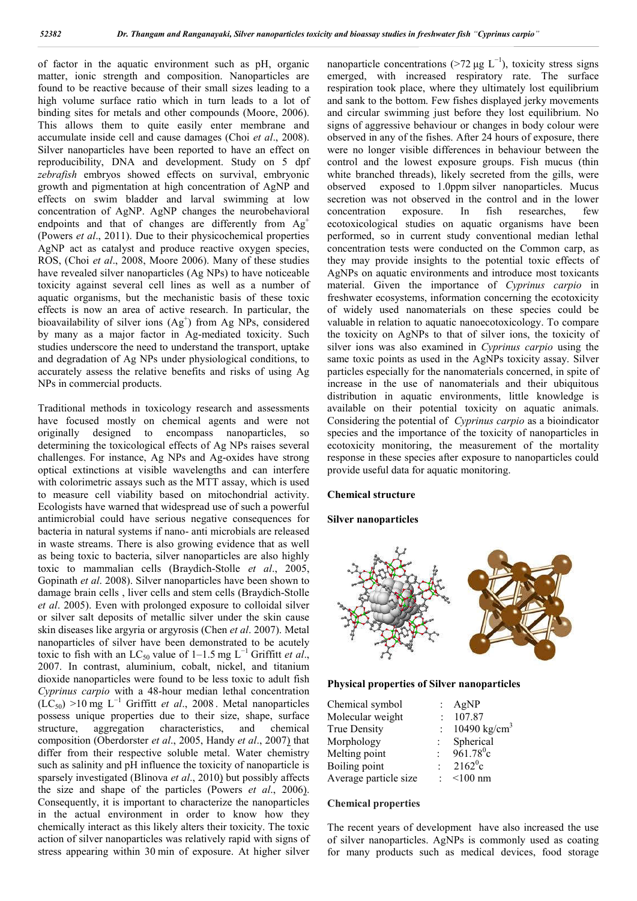of factor in the aquatic environment such as pH, organic matter, ionic strength and composition. Nanoparticles are found to be reactive because of their small sizes leading to a high volume surface ratio which in turn leads to a lot of binding sites for metals and other compounds (Moore, 2006). This allows them to quite easily enter membrane and accumulate inside cell and cause damages (Choi *et al*., 2008). Silver nanoparticles have been reported to have an effect on reproducibility, DNA and development. Study on 5 dpf *zebrafish* embryos showed effects on survival, embryonic growth and pigmentation at high concentration of AgNP and effects on swim bladder and larval swimming at low concentration of AgNP. AgNP changes the neurobehavioral endpoints and that of changes are differently from  $Ag<sup>+</sup>$ (Powers *et al*., 2011). Due to their physicochemical properties AgNP act as catalyst and produce reactive oxygen species, ROS, (Choi *et al*., 2008, Moore 2006). Many of these studies have revealed silver nanoparticles (Ag NPs) to have noticeable toxicity against several cell lines as well as a number of aquatic organisms, but the mechanistic basis of these toxic effects is now an area of active research. In particular, the bioavailability of silver ions  $(Ag^+)$  from Ag NPs, considered by many as a major factor in Ag-mediated toxicity. Such studies underscore the need to understand the transport, uptake and degradation of Ag NPs under physiological conditions, to accurately assess the relative benefits and risks of using Ag NPs in commercial products.

Traditional methods in toxicology research and assessments have focused mostly on chemical agents and were not originally designed to encompass nanoparticles, so determining the toxicological effects of Ag NPs raises several challenges. For instance, Ag NPs and Ag-oxides have strong optical extinctions at visible wavelengths and can interfere with colorimetric assays such as the MTT assay, which is used to measure cell viability based on mitochondrial activity. Ecologists have warned that widespread use of such a powerful antimicrobial could have serious negative consequences for bacteria in natural systems if nano- anti microbials are released in waste streams. There is also growing evidence that as well as being toxic to bacteria, silver nanoparticles are also highly toxic to mammalian cells (Braydich-Stolle *et al*., 2005, Gopinath *et al*. 2008). Silver nanoparticles have been shown to damage brain cells , liver cells and stem cells (Braydich-Stolle *et al*. 2005). Even with prolonged exposure to colloidal silver or silver salt deposits of metallic silver under the skin cause skin diseases like argyria or argyrosis (Chen *et al*. 2007). Metal nanoparticles of silver have been demonstrated to be acutely toxic to fish with an LC<sub>50</sub> value of 1–1.5 mg L<sup>-1</sup> Griffitt *et al.*, 2007. In contrast, aluminium, cobalt, nickel, and titanium dioxide nanoparticles were found to be less toxic to adult fish *Cyprinus carpio* with a 48-hour median lethal concentration  $(LC<sub>50</sub>) >10$  mg  $L^{-1}$  Griffitt *et al.*, 2008. Metal nanoparticles possess unique properties due to their size, shape, surface structure, aggregation characteristics, and chemical composition (Oberdorster *et al*., 2005, Handy *et al*., 2007) that differ from their respective soluble metal. Water chemistry such as salinity and pH influence the toxicity of nanoparticle is sparsely investigated (Blinova *et al*., 2010) but possibly affects the size and shape of the particles (Powers *et al*., 2006). Consequently, it is important to characterize the nanoparticles in the actual environment in order to know how they chemically interact as this likely alters their toxicity. The toxic action of silver nanoparticles was relatively rapid with signs of stress appearing within 30 min of exposure. At higher silver

nanoparticle concentrations (>72 μg  $L^{-1}$ ), toxicity stress signs emerged, with increased respiratory rate. The surface respiration took place, where they ultimately lost equilibrium and sank to the bottom. Few fishes displayed jerky movements and circular swimming just before they lost equilibrium. No signs of aggressive behaviour or changes in body colour were observed in any of the fishes. After 24 hours of exposure, there were no longer visible differences in behaviour between the control and the lowest exposure groups. Fish mucus (thin white branched threads), likely secreted from the gills, were observed exposed to 1.0ppm silver nanoparticles. Mucus secretion was not observed in the control and in the lower concentration exposure. In fish researches, few ecotoxicological studies on aquatic organisms have been performed, so in current study conventional median lethal concentration tests were conducted on the Common carp, as they may provide insights to the potential toxic effects of AgNPs on aquatic environments and introduce most toxicants material. Given the importance of *Cyprinus carpio* in freshwater ecosystems, information concerning the ecotoxicity of widely used nanomaterials on these species could be valuable in relation to aquatic nanoecotoxicology. To compare the toxicity on AgNPs to that of silver ions, the toxicity of silver ions was also examined in *Cyprinus carpio* using the same toxic points as used in the AgNPs toxicity assay. Silver particles especially for the nanomaterials concerned, in spite of increase in the use of nanomaterials and their ubiquitous distribution in aquatic environments, little knowledge is available on their potential toxicity on aquatic animals. Considering the potential of *Cyprinus carpio* as a bioindicator species and the importance of the toxicity of nanoparticles in ecotoxicity monitoring, the measurement of the mortality response in these species after exposure to nanoparticles could provide useful data for aquatic monitoring.

#### **Chemical structure**

#### **Silver nanoparticles**



#### **Physical properties of Silver nanoparticles**

| Chemical symbol       |                           | AgNP                     |
|-----------------------|---------------------------|--------------------------|
| Molecular weight      |                           | 107.87                   |
| <b>True Density</b>   |                           | 10490 kg/cm <sup>3</sup> |
| Morphology            |                           | Spherical                |
| Melting point         | $\mathbb{R}^{\mathbb{Z}}$ | $961.78$ °c              |
| Boiling point         |                           | : $2162^{\circ}c$        |
| Average particle size |                           | $<$ 100 nm               |

#### **Chemical properties**

The recent years of development have also increased the use of silver nanoparticles. AgNPs is commonly used as coating for many products such as medical devices, food storage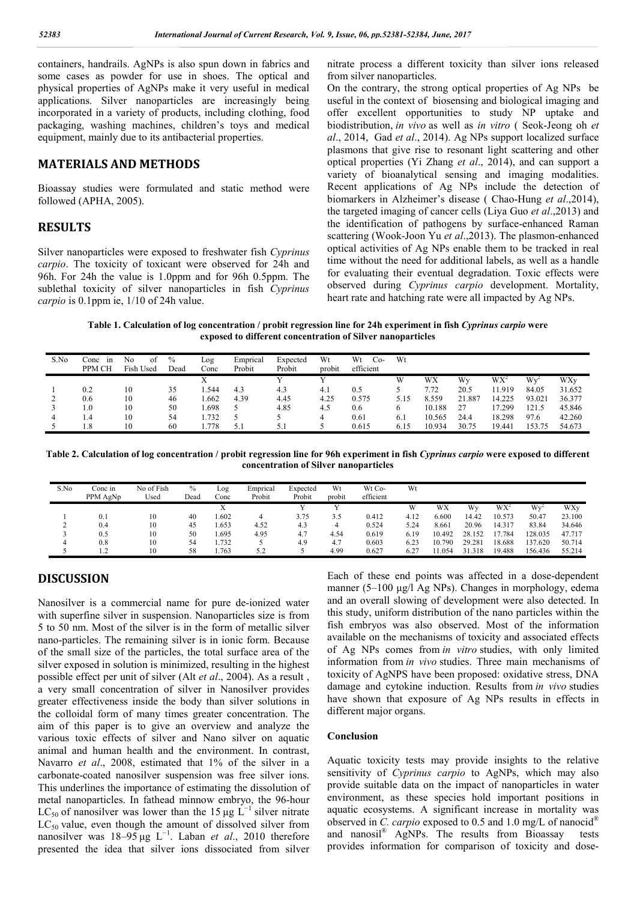containers, handrails. AgNPs is also spun down in fabrics and some cases as powder for use in shoes. The optical and physical properties of AgNPs make it very useful in medical applications. Silver nanoparticles are increasingly being incorporated in a variety of products, including clothing, food packaging, washing machines, children's toys and medical equipment, mainly due to its antibacterial properties.

## **MATERIALS AND METHODS**

Bioassay studies were formulated and static method were followed (APHA, 2005).

## **RESULTS**

Silver nanoparticles were exposed to freshwater fish *Cyprinus carpio*. The toxicity of toxicant were observed for 24h and 96h. For 24h the value is 1.0ppm and for 96h 0.5ppm. The sublethal toxicity of silver nanoparticles in fish *Cyprinus carpio* is 0.1ppm ie, 1/10 of 24h value.

nitrate process a different toxicity than silver ions released from silver nanoparticles.

On the contrary, the strong optical properties of Ag NPs be useful in the context of biosensing and biological imaging and offer excellent opportunities to study NP uptake and biodistribution, *in vivo* as well as *in vitro* ( Seok-Jeong oh *et al*., 2014, Gad *et al*., 2014). Ag NPs support localized surface plasmons that give rise to resonant light scattering and other optical properties (Yi Zhang *et al*., 2014), and can support a variety of bioanalytical sensing and imaging modalities. Recent applications of Ag NPs include the detection of biomarkers in Alzheimer's disease ( Chao-Hung *et al*.,2014), the targeted imaging of cancer cells (Liya Guo *et al*.,2013) and the identification of pathogens by surface-enhanced Raman scattering (Wook-Joon Yu *et al*.,2013). The plasmon-enhanced optical activities of Ag NPs enable them to be tracked in real time without the need for additional labels, as well as a handle for evaluating their eventual degradation. Toxic effects were observed during *Cyprinus carpio* development. Mortality, heart rate and hatching rate were all impacted by Ag NPs.

**Table 1. Calculation of log concentration / probit regression line for 24h experiment in fish** *Cyprinus carpio* **were exposed to different concentration of Silver nanoparticles**

| S.No | Conc<br>1n<br>PPM CH | of<br>No<br>Fish Used | $\%$<br>Dead | Log<br>Conc | Emprical<br>Probit | Expected<br>Probit | Wt<br>probit | Wt<br>Co-<br>efficient | Wt   |        |        |                 |        |        |
|------|----------------------|-----------------------|--------------|-------------|--------------------|--------------------|--------------|------------------------|------|--------|--------|-----------------|--------|--------|
|      |                      |                       |              |             |                    |                    |              |                        | W    | WX     | Wy     | WX <sup>-</sup> | Wy     | WXv    |
|      | 0.2                  | 10                    | 35           | .544        | 4.3                | 4.3                | 4.1          | 0.5                    |      | 7.72   | 20.5   | 11.919          | 84.05  | 31.652 |
|      | 0.6                  | 10                    | 46           | .662        | 4.39               | 4.45               | 4.25         | 0.575                  | 5.15 | 8.559  | 21.887 | 14.225          | 93.021 | 36.377 |
|      | 1.0                  | 10                    | 50           | .698        |                    | 4.85               | 4.5          | 0.6                    | O    | 10.188 | 27     | 17.299          | 121.5  | 45.846 |
|      | 1.4                  | 10                    | 54           | .732        |                    |                    | 4            | 0.61                   | 6.1  | 10.565 | 24.4   | 18.298          | 97.6   | 42.260 |
|      | .8                   | 10                    | 60           | .778        | 5.1                | 5.1                |              | 0.615                  | 6.15 | 10.934 | 30.75  | 19.441          | 153.75 | 54.673 |
|      |                      |                       |              |             |                    |                    |              |                        |      |        |        |                 |        |        |

**Table 2. Calculation of log concentration / probit regression line for 96h experiment in fish** *Cyprinus carpio* **were exposed to different concentration of Silver nanoparticles**

| S.No | Conc in<br>PPM AgNp | No of Fish<br>Used | $\%$<br>Dead | Log<br>Conc | Emprical<br>Probit | Expected<br>Probit | Wt<br>probit | Wt Co-<br>efficient | Wt   |        |        |                 |         |        |
|------|---------------------|--------------------|--------------|-------------|--------------------|--------------------|--------------|---------------------|------|--------|--------|-----------------|---------|--------|
|      |                     |                    |              |             |                    |                    |              |                     | W    | WX     | Wy     | WX <sup>2</sup> | Wv      | WXy    |
|      | 0.1                 | 10                 | 40           | .602        | 4                  | 3.75               | 3.5          | 0.412               | 4.12 | 6.600  | 14.42  | 10.573          | 50.47   | 23.100 |
|      | 0.4                 | 10                 | 45           | .653        | 4.52               | 4.3                | 4            | 0.524               | 5.24 | 8.661  | 20.96  | 14.317          | 83.84   | 34.646 |
|      | 0.5                 | 10                 | 50           | .695        | 4.95               | 4.7                | 4.54         | 0.619               | 6.19 | 10.492 | 28.152 | 17.784          | 128.035 | 47.717 |
|      | 0.8                 | 10                 | 54           | .732        |                    | 4.9                | 4.7          | 0.603               | 6.23 | 10.790 | 29.281 | 18.688          | 137.620 | 50.714 |
|      | 1.2                 | 10                 | 58           | .763        | 5.2                |                    | 4.99         | 0.627               | 6.27 | 1.054  | 31.318 | 19.488          | 156.436 | 55.214 |

## **DISCUSSION**

Nanosilver is a commercial name for pure de-ionized water with superfine silver in suspension. Nanoparticles size is from 5 to 50 nm. Most of the silver is in the form of metallic silver nano-particles. The remaining silver is in ionic form. Because of the small size of the particles, the total surface area of the silver exposed in solution is minimized, resulting in the highest possible effect per unit of silver (Alt *et al*., 2004). As a result , a very small concentration of silver in Nanosilver provides greater effectiveness inside the body than silver solutions in the colloidal form of many times greater concentration. The aim of this paper is to give an overview and analyze the various toxic effects of silver and Nano silver on aquatic animal and human health and the environment. In contrast, Navarro *et al.*, 2008, estimated that 1% of the silver in a carbonate-coated nanosilver suspension was free silver ions. This underlines the importance of estimating the dissolution of metal nanoparticles. In fathead minnow embryo, the 96-hour LC<sub>50</sub> of nanosilver was lower than the 15 μg L<sup>-1</sup> silver nitrate  $LC_{50}$  value, even though the amount of dissolved silver from nanosilver was 18–95 μg L−1. Laban *et al*., 2010 therefore presented the idea that silver ions dissociated from silver

Each of these end points was affected in a dose-dependent manner (5–100 μg/l Ag NPs). Changes in morphology, edema and an overall slowing of development were also detected. In this study, uniform distribution of the nano particles within the fish embryos was also observed. Most of the information available on the mechanisms of toxicity and associated effects of Ag NPs comes from *in vitro* studies, with only limited information from *in vivo* studies. Three main mechanisms of toxicity of AgNPS have been proposed: oxidative stress, DNA damage and cytokine induction. Results from *in vivo* studies have shown that exposure of Ag NPs results in effects in different major organs.

### **Conclusion**

Aquatic toxicity tests may provide insights to the relative sensitivity of *Cyprinus carpio* to AgNPs, which may also provide suitable data on the impact of nanoparticles in water environment, as these species hold important positions in aquatic ecosystems. A significant increase in mortality was observed in *C. carpio* exposed to 0.5 and 1.0 mg/L of nanocid® and nanosil® AgNPs. The results from Bioassay tests provides information for comparison of toxicity and dose-